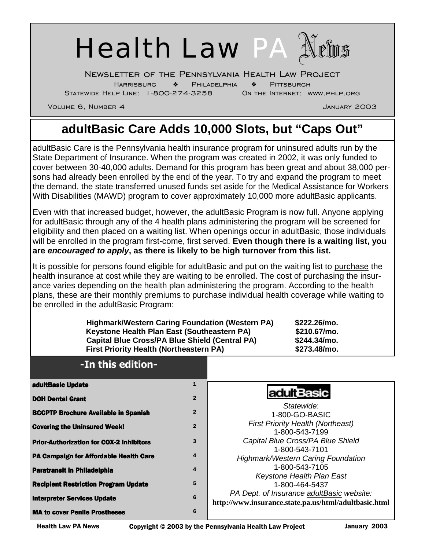

Newsletter of the Pennsylvania Health Law Project

Harrisburg ❖ Philadelphia ❖ Pittsburgh

Statewide Help Line: 1-800-274-3258 On the Internet: www.phlp.org

Volume 6, Number 4 January 2003

# **adultBasic Care Adds 10,000 Slots, but "Caps Out"**

adultBasic Care is the Pennsylvania health insurance program for uninsured adults run by the State Department of Insurance. When the program was created in 2002, it was only funded to cover between 30-40,000 adults. Demand for this program has been great and about 38,000 persons had already been enrolled by the end of the year. To try and expand the program to meet the demand, the state transferred unused funds set aside for the Medical Assistance for Workers With Disabilities (MAWD) program to cover approximately 10,000 more adultBasic applicants.

Even with that increased budget, however, the adultBasic Program is now full. Anyone applying for adultBasic through any of the 4 health plans administering the program will be screened for eligibility and then placed on a waiting list. When openings occur in adultBasic, those individuals will be enrolled in the program first-come, first served. **Even though there is a waiting list, you are** *encouraged to apply***, as there is likely to be high turnover from this list.** 

It is possible for persons found eligible for adultBasic and put on the waiting list to purchase the health insurance at cost while they are waiting to be enrolled. The cost of purchasing the insurance varies depending on the health plan administering the program. According to the health plans, these are their monthly premiums to purchase individual health coverage while waiting to be enrolled in the adultBasic Program:

| <b>Highmark/Western Caring Foundation (Western PA)</b><br>\$222.26/mo.<br>Keystone Health Plan East (Southeastern PA)<br>\$210.67/mo.<br><b>Capital Blue Cross/PA Blue Shield (Central PA)</b><br>\$244.34/mo.<br><b>First Priority Health (Northeastern PA)</b><br>\$273.48/mo. |                |                                                                                                                                                                        |
|----------------------------------------------------------------------------------------------------------------------------------------------------------------------------------------------------------------------------------------------------------------------------------|----------------|------------------------------------------------------------------------------------------------------------------------------------------------------------------------|
| -In this edition-                                                                                                                                                                                                                                                                |                |                                                                                                                                                                        |
| adultBasic Update                                                                                                                                                                                                                                                                | 1              |                                                                                                                                                                        |
| <b>DOH Dental Grant</b>                                                                                                                                                                                                                                                          | $\overline{2}$ | <b>adultBasic</b><br>Statewide:<br>1-800-GO-BASIC<br><b>First Priority Health (Northeast)</b><br>1-800-543-7199<br>Capital Blue Cross/PA Blue Shield<br>1-800-543-7101 |
| <b>BCCPTP Brochure Available in Spanish</b>                                                                                                                                                                                                                                      | $\overline{2}$ |                                                                                                                                                                        |
| <b>Covering the Uninsured Week!</b>                                                                                                                                                                                                                                              | $\overline{2}$ |                                                                                                                                                                        |
| <b>Prior-Authorization for COX-2 Inhibitors</b>                                                                                                                                                                                                                                  | 3              |                                                                                                                                                                        |
| PA Campaign for Affordable Health Care                                                                                                                                                                                                                                           | 4              | <b>Highmark/Western Caring Foundation</b>                                                                                                                              |
| <b>Paratransit in Philadelphia</b>                                                                                                                                                                                                                                               | 4              | 1-800-543-7105                                                                                                                                                         |
| <b>Recipient Restriction Program Update</b>                                                                                                                                                                                                                                      | 5              | Keystone Health Plan East<br>1-800-464-5437                                                                                                                            |
| <b>Interpreter Services Update</b>                                                                                                                                                                                                                                               | 6              | PA Dept. of Insurance adultBasic website:<br>http://www.insurance.state.pa.us/html/adultbasic.html                                                                     |
| <b>MA to cover Penile Prostheses</b>                                                                                                                                                                                                                                             | 6              |                                                                                                                                                                        |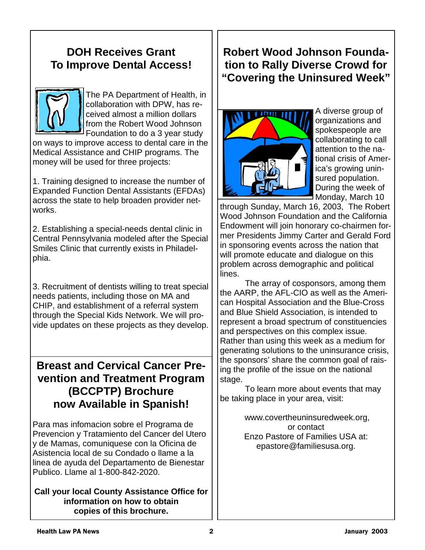#### **DOH Receives Grant To Improve Dental Access!**



The PA Department of Health, in collaboration with DPW, has received almost a million dollars from the Robert Wood Johnson Foundation to do a 3 year study

on ways to improve access to dental care in the Medical Assistance and CHIP programs. The money will be used for three projects:

1. Training designed to increase the number of Expanded Function Dental Assistants (EFDAs) across the state to help broaden provider networks.

2. Establishing a special-needs dental clinic in Central Pennsylvania modeled after the Special Smiles Clinic that currently exists in Philadelphia.

3. Recruitment of dentists willing to treat special needs patients, including those on MA and CHIP, and establishment of a referral system through the Special Kids Network. We will provide updates on these projects as they develop.

### **Breast and Cervical Cancer Prevention and Treatment Program (BCCPTP) Brochure now Available in Spanish!**

Para mas infomacion sobre el Programa de Prevencion y Tratamiento del Cancer del Utero y de Mamas, comuniquese con la Oficina de Asistencia local de su Condado o llame a la linea de ayuda del Departamento de Bienestar Publico. Llame al 1-800-842-2020.

**Call your local County Assistance Office for information on how to obtain copies of this brochure.** 

### **Robert Wood Johnson Foundation to Rally Diverse Crowd for "Covering the Uninsured Week"**



A diverse group of organizations and spokespeople are collaborating to call attention to the national crisis of America's growing uninsured population. During the week of Monday, March 10

through Sunday, March 16, 2003, The Robert Wood Johnson Foundation and the California Endowment will join honorary co-chairmen former Presidents Jimmy Carter and Gerald Ford in sponsoring events across the nation that will promote educate and dialogue on this problem across demographic and political lines.

 The array of cosponsors, among them the AARP, the AFL-CIO as well as the American Hospital Association and the Blue-Cross and Blue Shield Association, is intended to represent a broad spectrum of constituencies and perspectives on this complex issue. Rather than using this week as a medium for generating solutions to the uninsurance crisis, the sponsors' share the common goal of raising the profile of the issue on the national stage.

 To learn more about events that may be taking place in your area, visit:

> www.covertheuninsuredweek.org, or contact Enzo Pastore of Families USA at: epastore@familiesusa.org.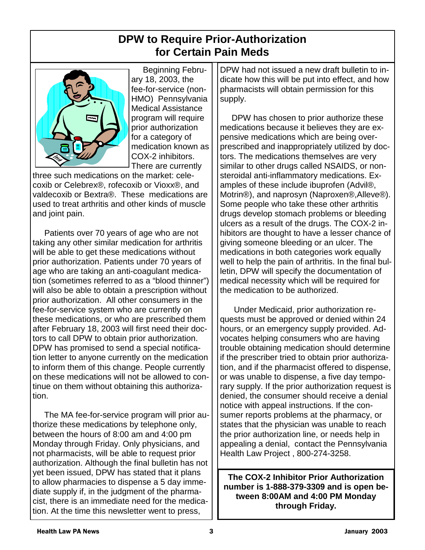### **DPW to Require Prior-Authorization for Certain Pain Meds**



 Beginning February 18, 2003, the fee-for-service (non-HMO) Pennsylvania Medical Assistance program will require prior authorization for a category of medication known as COX-2 inhibitors. There are currently

three such medications on the market: celecoxib or Celebrex®, rofecoxib or Vioxx®, and valdecoxib or Bextra®. These medications are used to treat arthritis and other kinds of muscle and joint pain.

 Patients over 70 years of age who are not taking any other similar medication for arthritis will be able to get these medications without prior authorization. Patients under 70 years of age who are taking an anti-coagulant medication (sometimes referred to as a "blood thinner") will also be able to obtain a prescription without prior authorization. All other consumers in the fee-for-service system who are currently on these medications, or who are prescribed them after February 18, 2003 will first need their doctors to call DPW to obtain prior authorization. DPW has promised to send a special notification letter to anyone currently on the medication to inform them of this change. People currently on these medications will not be allowed to continue on them without obtaining this authorization.

 The MA fee-for-service program will prior authorize these medications by telephone only, between the hours of 8:00 am and 4:00 pm Monday through Friday. Only physicians, and not pharmacists, will be able to request prior authorization. Although the final bulletin has not yet been issued, DPW has stated that it plans to allow pharmacies to dispense a 5 day immediate supply if, in the judgment of the pharmacist, there is an immediate need for the medication. At the time this newsletter went to press,

DPW had not issued a new draft bulletin to indicate how this will be put into effect, and how pharmacists will obtain permission for this supply.

 DPW has chosen to prior authorize these medications because it believes they are expensive medications which are being overprescribed and inappropriately utilized by doctors. The medications themselves are very similar to other drugs called NSAIDS, or nonsteroidal anti-inflammatory medications. Examples of these include ibuprofen (Advil®, Motrin®), and naprosyn (Naproxen®,Alleve®). Some people who take these other arthritis drugs develop stomach problems or bleeding ulcers as a result of the drugs. The COX-2 inhibitors are thought to have a lesser chance of giving someone bleeding or an ulcer. The medications in both categories work equally well to help the pain of arthritis. In the final bulletin, DPW will specify the documentation of medical necessity which will be required for the medication to be authorized.

 Under Medicaid, prior authorization requests must be approved or denied within 24 hours, or an emergency supply provided. Advocates helping consumers who are having trouble obtaining medication should determine if the prescriber tried to obtain prior authorization, and if the pharmacist offered to dispense, or was unable to dispense, a five day temporary supply. If the prior authorization request is denied, the consumer should receive a denial notice with appeal instructions. If the consumer reports problems at the pharmacy, or states that the physician was unable to reach the prior authorization line, or needs help in appealing a denial, contact the Pennsylvania Health Law Project , 800-274-3258.

**The COX-2 Inhibitor Prior Authorization number is 1-888-379-3309 and is open between 8:00AM and 4:00 PM Monday through Friday.**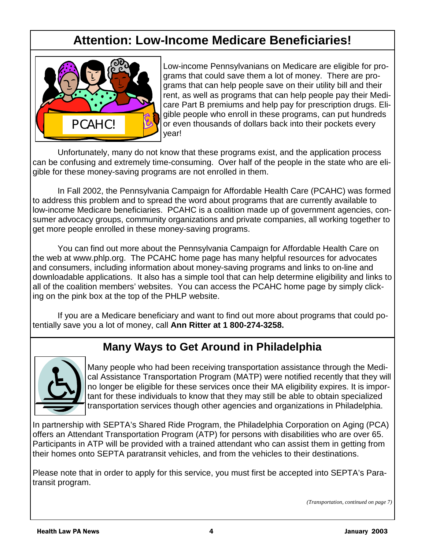## **Attention: Low-Income Medicare Beneficiaries!**



Low-income Pennsylvanians on Medicare are eligible for programs that could save them a lot of money. There are programs that can help people save on their utility bill and their rent, as well as programs that can help people pay their Medicare Part B premiums and help pay for prescription drugs. Eligible people who enroll in these programs, can put hundreds or even thousands of dollars back into their pockets every year!

Unfortunately, many do not know that these programs exist, and the application process can be confusing and extremely time-consuming. Over half of the people in the state who are eligible for these money-saving programs are not enrolled in them.

In Fall 2002, the Pennsylvania Campaign for Affordable Health Care (PCAHC) was formed to address this problem and to spread the word about programs that are currently available to low-income Medicare beneficiaries. PCAHC is a coalition made up of government agencies, consumer advocacy groups, community organizations and private companies, all working together to get more people enrolled in these money-saving programs.

 You can find out more about the Pennsylvania Campaign for Affordable Health Care on the web at www.phlp.org. The PCAHC home page has many helpful resources for advocates and consumers, including information about money-saving programs and links to on-line and downloadable applications. It also has a simple tool that can help determine eligibility and links to all of the coalition members' websites. You can access the PCAHC home page by simply clicking on the pink box at the top of the PHLP website.

 If you are a Medicare beneficiary and want to find out more about programs that could potentially save you a lot of money, call **Ann Ritter at 1 800-274-3258.** 

### **Many Ways to Get Around in Philadelphia**



Many people who had been receiving transportation assistance through the Medical Assistance Transportation Program (MATP) were notified recently that they will no longer be eligible for these services once their MA eligibility expires. It is important for these individuals to know that they may still be able to obtain specialized transportation services though other agencies and organizations in Philadelphia.

In partnership with SEPTA's Shared Ride Program, the Philadelphia Corporation on Aging (PCA) offers an Attendant Transportation Program (ATP) for persons with disabilities who are over 65. Participants in ATP will be provided with a trained attendant who can assist them in getting from their homes onto SEPTA paratransit vehicles, and from the vehicles to their destinations.

Please note that in order to apply for this service, you must first be accepted into SEPTA's Paratransit program.

*(Transportation, continued on page 7)*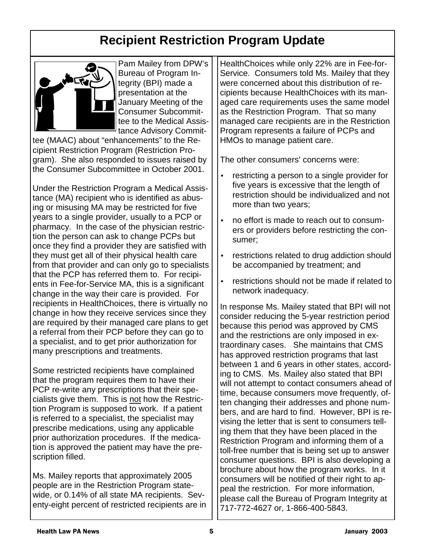# **Recipient Restriction Program Update**



Pam Mailey from DPW's Bureau of Program Integrity (BPI) made a presentation at the January Meeting of the Consumer Subcommittee to the Medical Assistance Advisory Commit-

tee (MAAC) about "enhancements" to the Recipient Restriction Program (Restriction Program). She also responded to issues raised by the Consumer Subcommittee in October 2001.

Under the Restriction Program a Medical Assistance (MA) recipient who is identified as abusing or misusing MA may be restricted for five years to a single provider, usually to a PCP or pharmacy. In the case of the physician restriction the person can ask to change PCPs but once they find a provider they are satisfied with they must get all of their physical health care from that provider and can only go to specialists that the PCP has referred them to. For recipients in Fee-for-Service MA, this is a significant change in the way their care is provided. For recipients in HealthChoices, there is virtually no change in how they receive services since they are required by their managed care plans to get a referral from their PCP before they can go to a specialist, and to get prior authorization for many prescriptions and treatments.

Some restricted recipients have complained that the program requires them to have their PCP re-write any prescriptions that their specialists give them. This is not how the Restriction Program is supposed to work. If a patient is referred to a specialist, the specialist may prescribe medications, using any applicable prior authorization procedures. If the medication is approved the patient may have the prescription filled.

Ms. Mailey reports that approximately 2005 people are in the Restriction Program statewide, or 0.14% of all state MA recipients. Seventy-eight percent of restricted recipients are in

HealthChoices while only 22% are in Fee-for-Service. Consumers told Ms. Mailey that they were concerned about this distribution of recipients because HealthChoices with its managed care requirements uses the same model as the Restriction Program. That so many managed care recipients are in the Restriction Program represents a failure of PCPs and HMOs to manage patient care.

The other consumers' concerns were:

- restricting a person to a single provider for five years is excessive that the length of restriction should be individualized and not more than two years;
- no effort is made to reach out to consumers or providers before restricting the consumer;
- restrictions related to drug addiction should be accompanied by treatment; and
- restrictions should not be made if related to network inadequacy.

In response Ms. Mailey stated that BPI will not consider reducing the 5-year restriction period because this period was approved by CMS and the restrictions are only imposed in extraordinary cases. She maintains that CMS has approved restriction programs that last between 1 and 6 years in other states, according to CMS. Ms. Mailey also stated that BPI will not attempt to contact consumers ahead of time, because consumers move frequently, often changing their addresses and phone numbers, and are hard to find. However, BPI is revising the letter that is sent to consumers telling them that they have been placed in the Restriction Program and informing them of a toll-free number that is being set up to answer consumer questions. BPI is also developing a brochure about how the program works. In it consumers will be notified of their right to appeal the restriction. For more information, please call the Bureau of Program Integrity at 717-772-4627 or, 1-866-400-5843.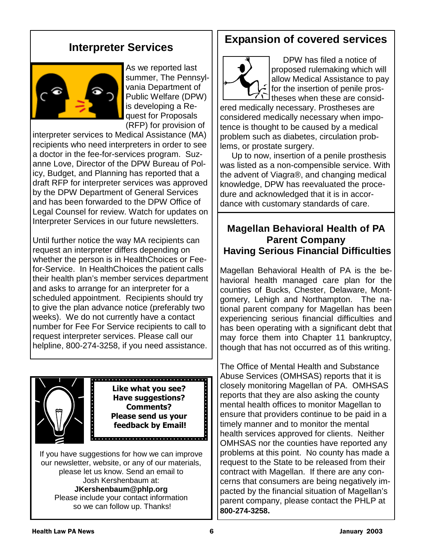#### **Interpreter Services**



As we reported last summer, The Pennsylvania Department of Public Welfare (DPW) is developing a Request for Proposals (RFP) for provision of

interpreter services to Medical Assistance (MA) recipients who need interpreters in order to see a doctor in the fee-for-services program. Suzanne Love, Director of the DPW Bureau of Policy, Budget, and Planning has reported that a draft RFP for interpreter services was approved by the DPW Department of General Services and has been forwarded to the DPW Office of Legal Counsel for review. Watch for updates on Interpreter Services in our future newsletters.

Until further notice the way MA recipients can request an interpreter differs depending on whether the person is in HealthChoices or Feefor-Service. In HealthChoices the patient calls their health plan's member services department and asks to arrange for an interpreter for a scheduled appointment. Recipients should try to give the plan advance notice (preferably two weeks). We do not currently have a contact number for Fee For Service recipients to call to request interpreter services. Please call our helpline, 800-274-3258, if you need assistance.



**Like what you see? Have suggestions? Comments? Please send us your feedback by Email!**

If you have suggestions for how we can improve our newsletter, website, or any of our materials, please let us know. Send an email to Josh Kershenbaum at: **JKershenbaum@phlp.org**  Please include your contact information so we can follow up. Thanks!

#### **Expansion of covered services**



 DPW has filed a notice of proposed rulemaking which will allow Medical Assistance to pay for the insertion of penile prostheses when these are consid-

ered medically necessary. Prostheses are considered medically necessary when impotence is thought to be caused by a medical problem such as diabetes, circulation problems, or prostate surgery.

 Up to now, insertion of a penile prosthesis was listed as a non-compensible service. With the advent of Viagra®, and changing medical knowledge, DPW has reevaluated the procedure and acknowledged that it is in accordance with customary standards of care.

#### **Magellan Behavioral Health of PA Parent Company Having Serious Financial Difficulties**

Magellan Behavioral Health of PA is the behavioral health managed care plan for the counties of Bucks, Chester, Delaware, Montgomery, Lehigh and Northampton. The national parent company for Magellan has been experiencing serious financial difficulties and has been operating with a significant debt that may force them into Chapter 11 bankruptcy, though that has not occurred as of this writing.

The Office of Mental Health and Substance Abuse Services (OMHSAS) reports that it is closely monitoring Magellan of PA. OMHSAS reports that they are also asking the county mental health offices to monitor Magellan to ensure that providers continue to be paid in a timely manner and to monitor the mental health services approved for clients. Neither OMHSAS nor the counties have reported any problems at this point. No county has made a request to the State to be released from their contract with Magellan. If there are any concerns that consumers are being negatively impacted by the financial situation of Magellan's parent company, please contact the PHLP at **800-274-3258.**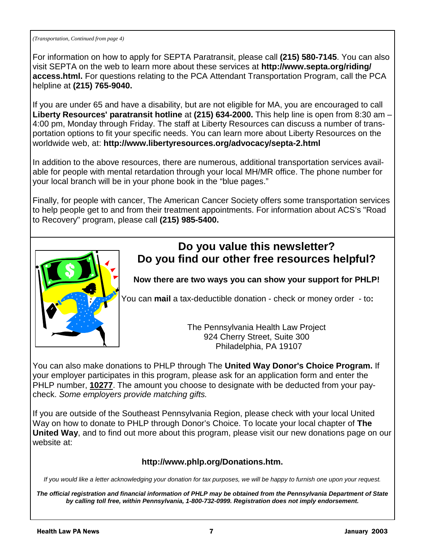*(Transportation, Continued from page 4)* 

For information on how to apply for SEPTA Paratransit, please call **(215) 580-7145**. You can also visit SEPTA on the web to learn more about these services at **http://www.septa.org/riding/ access.html.** For questions relating to the PCA Attendant Transportation Program, call the PCA helpline at **(215) 765-9040.** 

If you are under 65 and have a disability, but are not eligible for MA, you are encouraged to call **Liberty Resources' paratransit hotline** at **(215) 634-2000.** This help line is open from 8:30 am – 4:00 pm, Monday through Friday. The staff at Liberty Resources can discuss a number of transportation options to fit your specific needs. You can learn more about Liberty Resources on the worldwide web, at: **http://www.libertyresources.org/advocacy/septa-2.html** 

In addition to the above resources, there are numerous, additional transportation services available for people with mental retardation through your local MH/MR office. The phone number for your local branch will be in your phone book in the "blue pages."

Finally, for people with cancer, The American Cancer Society offers some transportation services to help people get to and from their treatment appointments. For information about ACS's "Road to Recovery" program, please call **(215) 985-5400.** 



#### **Do you value this newsletter? Do you find our other free resources helpful?**

**Now there are two ways you can show your support for PHLP!** 

You can **mail** a tax-deductible donation - check or money order - to**:** 

The Pennsylvania Health Law Project 924 Cherry Street, Suite 300 Philadelphia, PA 19107

You can also make donations to PHLP through The **United Way Donor's Choice Program.** If your employer participates in this program, please ask for an application form and enter the PHLP number, **10277**. The amount you choose to designate with be deducted from your paycheck. *Some employers provide matching gifts.* 

If you are outside of the Southeast Pennsylvania Region, please check with your local United Way on how to donate to PHLP through Donor's Choice. To locate your local chapter of **The United Way**, and to find out more about this program, please visit our new donations page on our website at:

#### **http://www.phlp.org/Donations.htm.**

*If you would like a letter acknowledging your donation for tax purposes, we will be happy to furnish one upon your request.* 

*The official registration and financial information of PHLP may be obtained from the Pennsylvania Department of State by calling toll free, within Pennsylvania, 1-800-732-0999. Registration does not imply endorsement.*